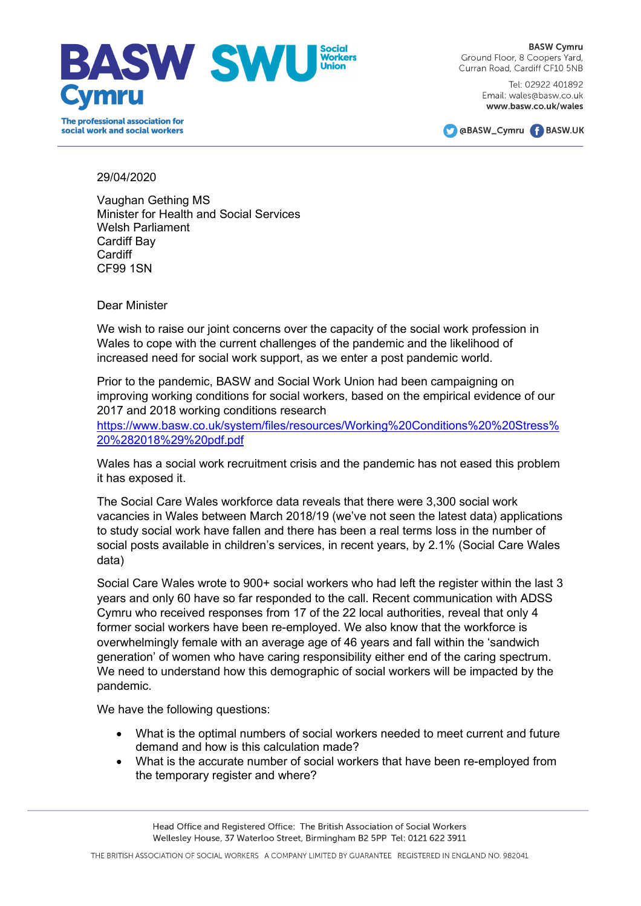

**BASW Cymru** Ground Floor, 8 Coopers Yard, Curran Road, Cardiff CF10 5NB

> Tel: 02922 401892 Email: wales@basw.co.uk www.basw.co.uk/wales



## 29/04/2020

Vaughan Gething MS Minister for Health and Social Services Welsh Parliament Cardiff Bay **Cardiff** CF99 1SN

Dear Minister

We wish to raise our joint concerns over the capacity of the social work profession in Wales to cope with the current challenges of the pandemic and the likelihood of increased need for social work support, as we enter a post pandemic world.

Prior to the pandemic, BASW and Social Work Union had been campaigning on improving working conditions for social workers, based on the empirical evidence of our 2017 and 2018 working conditions research

[https://www.basw.co.uk/system/files/resources/Working%20Conditions%20%20Stress%](https://www.basw.co.uk/system/files/resources/Working%20Conditions%20%20Stress%20%282018%29%20pdf.pdf) [20%282018%29%20pdf.pdf](https://www.basw.co.uk/system/files/resources/Working%20Conditions%20%20Stress%20%282018%29%20pdf.pdf)

Wales has a social work recruitment crisis and the pandemic has not eased this problem it has exposed it.

The Social Care Wales workforce data reveals that there were 3,300 social work vacancies in Wales between March 2018/19 (we've not seen the latest data) applications to study social work have fallen and there has been a real terms loss in the number of social posts available in children's services, in recent years, by 2.1% (Social Care Wales data)

Social Care Wales wrote to 900+ social workers who had left the register within the last 3 years and only 60 have so far responded to the call. Recent communication with ADSS Cymru who received responses from 17 of the 22 local authorities, reveal that only 4 former social workers have been re-employed. We also know that the workforce is overwhelmingly female with an average age of 46 years and fall within the 'sandwich generation' of women who have caring responsibility either end of the caring spectrum. We need to understand how this demographic of social workers will be impacted by the pandemic.

We have the following questions:

- What is the optimal numbers of social workers needed to meet current and future demand and how is this calculation made?
- What is the accurate number of social workers that have been re-employed from the temporary register and where?

Head Office and Registered Office: The British Association of Social Workers Wellesley House, 37 Waterloo Street, Birmingham B2 5PP Tel: 0121 622 3911